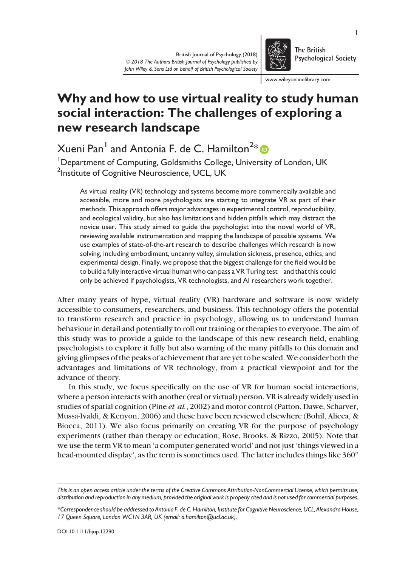

The British **Psychological Society** 

www.wileyonlinelibrary.com

# Why and how to use virtual reality to study human social interaction: The challenges of exploring a new research landscape

Xueni Pan $^{\mathsf{I}}$  and Antonia F. de C. Hamilton $^{\mathsf{2}\ast}$ 

<sup>1</sup>Department of Computing, Goldsmiths College, University of London, UK <sup>2</sup>Institute of Cognitive Neuroscience, UCL, UK

As virtual reality (VR) technology and systems become more commercially available and accessible, more and more psychologists are starting to integrate VR as part of their methods. This approach offers major advantages in experimental control, reproducibility, and ecological validity, but also has limitations and hidden pitfalls which may distract the novice user. This study aimed to guide the psychologist into the novel world of VR, reviewing available instrumentation and mapping the landscape of possible systems. We use examples of state-of-the-art research to describe challenges which research is now solving, including embodiment, uncanny valley, simulation sickness, presence, ethics, and experimental design. Finally, we propose that the biggest challenge for the field would be to build a fully interactive virtual human who can pass a VR Turing test – and that this could only be achieved if psychologists, VR technologists, and AI researchers work together.

After many years of hype, virtual reality (VR) hardware and software is now widely accessible to consumers, researchers, and business. This technology offers the potential to transform research and practice in psychology, allowing us to understand human behaviour in detail and potentially to roll out training or therapies to everyone. The aim of this study was to provide a guide to the landscape of this new research field, enabling psychologists to explore it fully but also warning of the many pitfalls to this domain and giving glimpses of the peaks of achievement that are yet to be scaled. We consider both the advantages and limitations of VR technology, from a practical viewpoint and for the advance of theory.

In this study, we focus specifically on the use of VR for human social interactions, where a person interacts with another (real or virtual) person. VR is already widely used in studies of spatial cognition (Pine et al., 2002) and motor control (Patton, Dawe, Scharver, Mussa-Ivaldi, & Kenyon, 2006) and these have been reviewed elsewhere (Bohil, Alicea, & Biocca, 2011). We also focus primarily on creating VR for the purpose of psychology experiments (rather than therapy or education; Rose, Brooks, & Rizzo, 2005). Note that we use the term VR to mean 'a computer-generated world' and not just 'things viewed in a head-mounted display', as the term is sometimes used. The latter includes things like 360°

This is an open access article under the terms of the [Creative Commons Attribution-NonCommercial](http://creativecommons.org/licenses/by-nc/4.0/) License, which permits use, distribution and reproduction in any medium, provided the original work is properly cited and is not used for commercial purposes.

<sup>\*</sup>Correspondence should be addressed to Antonia F. de C. Hamilton, Institute for Cognitive Neuroscience, UCL, Alexandra House, 17 Queen Square, London WC1N 3AR, UK (email: a.hamilton@ucl.ac.uk).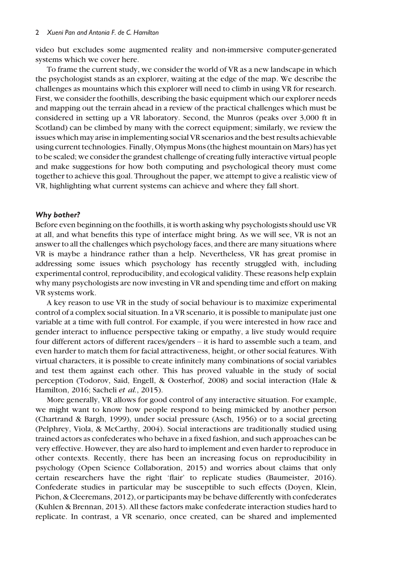video but excludes some augmented reality and non-immersive computer-generated systems which we cover here.

To frame the current study, we consider the world of VR as a new landscape in which the psychologist stands as an explorer, waiting at the edge of the map. We describe the challenges as mountains which this explorer will need to climb in using VR for research. First, we consider the foothills, describing the basic equipment which our explorer needs and mapping out the terrain ahead in a review of the practical challenges which must be considered in setting up a VR laboratory. Second, the Munros (peaks over 3,000 ft in Scotland) can be climbed by many with the correct equipment; similarly, we review the issues which may arise in implementing social VR scenarios and the best results achievable using current technologies. Finally, Olympus Mons (the highest mountain on Mars) has yet to be scaled; we consider the grandest challenge of creating fully interactive virtual people and make suggestions for how both computing and psychological theory must come together to achieve this goal. Throughout the paper, we attempt to give a realistic view of VR, highlighting what current systems can achieve and where they fall short.

## Why bother?

Before even beginning on the foothills, it is worth asking why psychologists should use VR at all, and what benefits this type of interface might bring. As we will see, VR is not an answer to all the challenges which psychology faces, and there are many situations where VR is maybe a hindrance rather than a help. Nevertheless, VR has great promise in addressing some issues which psychology has recently struggled with, including experimental control, reproducibility, and ecological validity. These reasons help explain why many psychologists are now investing in VR and spending time and effort on making VR systems work.

A key reason to use VR in the study of social behaviour is to maximize experimental control of a complex social situation. In a VR scenario, it is possible to manipulate just one variable at a time with full control. For example, if you were interested in how race and gender interact to influence perspective taking or empathy, a live study would require four different actors of different races/genders – it is hard to assemble such a team, and even harder to match them for facial attractiveness, height, or other social features. With virtual characters, it is possible to create infinitely many combinations of social variables and test them against each other. This has proved valuable in the study of social perception (Todorov, Said, Engell, & Oosterhof, 2008) and social interaction (Hale & Hamilton, 2016; Sacheli et al., 2015).

More generally, VR allows for good control of any interactive situation. For example, we might want to know how people respond to being mimicked by another person (Chartrand & Bargh, 1999), under social pressure (Asch, 1956) or to a social greeting (Pelphrey, Viola, & McCarthy, 2004). Social interactions are traditionally studied using trained actors as confederates who behave in a fixed fashion, and such approaches can be very effective. However, they are also hard to implement and even harder to reproduce in other contexts. Recently, there has been an increasing focus on reproducibility in psychology (Open Science Collaboration, 2015) and worries about claims that only certain researchers have the right 'flair' to replicate studies (Baumeister, 2016). Confederate studies in particular may be susceptible to such effects (Doyen, Klein, Pichon, & Cleeremans, 2012), or participants may be behave differently with confederates (Kuhlen & Brennan, 2013). All these factors make confederate interaction studies hard to replicate. In contrast, a VR scenario, once created, can be shared and implemented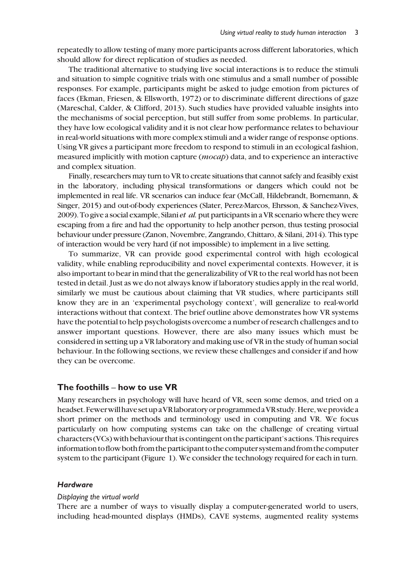repeatedly to allow testing of many more participants across different laboratories, which should allow for direct replication of studies as needed.

The traditional alternative to studying live social interactions is to reduce the stimuli and situation to simple cognitive trials with one stimulus and a small number of possible responses. For example, participants might be asked to judge emotion from pictures of faces (Ekman, Friesen, & Ellsworth, 1972) or to discriminate different directions of gaze (Mareschal, Calder, & Clifford, 2013). Such studies have provided valuable insights into the mechanisms of social perception, but still suffer from some problems. In particular, they have low ecological validity and it is not clear how performance relates to behaviour in real-world situations with more complex stimuli and a wider range of response options. Using VR gives a participant more freedom to respond to stimuli in an ecological fashion, measured implicitly with motion capture (*mocap*) data, and to experience an interactive and complex situation.

Finally, researchers may turn to VR to create situations that cannot safely and feasibly exist in the laboratory, including physical transformations or dangers which could not be implemented in real life. VR scenarios can induce fear (McCall, Hildebrandt, Bornemann, & Singer, 2015) and out-of-body experiences (Slater, Perez-Marcos, Ehrsson, & Sanchez-Vives, 2009). To give a social example, Silani *et al.* put participants in a VR scenario where they were escaping from a fire and had the opportunity to help another person, thus testing prosocial behaviour under pressure (Zanon, Novembre, Zangrando, Chittaro, & Silani, 2014). This type of interaction would be very hard (if not impossible) to implement in a live setting.

To summarize, VR can provide good experimental control with high ecological validity, while enabling reproducibility and novel experimental contexts. However, it is also important to bear in mind that the generalizability of VR to the real world has not been tested in detail. Just as we do not always know if laboratory studies apply in the real world, similarly we must be cautious about claiming that VR studies, where participants still know they are in an 'experimental psychology context', will generalize to real-world interactions without that context. The brief outline above demonstrates how VR systems have the potential to help psychologists overcome a number of research challenges and to answer important questions. However, there are also many issues which must be considered in setting up a VR laboratory and making use of VR in the study of human social behaviour. In the following sections, we review these challenges and consider if and how they can be overcome.

## The foothills – how to use VR

Many researchers in psychology will have heard of VR, seen some demos, and tried on a headset. Fewer will have set up a VR laboratory or programmed a VR study. Here, we provide a short primer on the methods and terminology used in computing and VR. We focus particularly on how computing systems can take on the challenge of creating virtual characters (VCs)with behaviour thatiscontingent on the participant's actions. This requires information to flow both from the participant to the computer system and from the computer system to the participant (Figure 1). We consider the technology required for each in turn.

## **Hardware**

#### Displaying the virtual world

There are a number of ways to visually display a computer-generated world to users, including head-mounted displays (HMDs), CAVE systems, augmented reality systems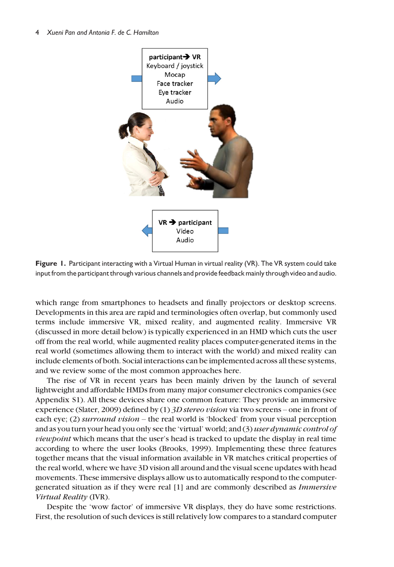

Figure 1. Participant interacting with a Virtual Human in virtual reality (VR). The VR system could take input from the participant through various channels and provide feedback mainly through video and audio.

which range from smartphones to headsets and finally projectors or desktop screens. Developments in this area are rapid and terminologies often overlap, but commonly used terms include immersive VR, mixed reality, and augmented reality. Immersive VR (discussed in more detail below) is typically experienced in an HMD which cuts the user off from the real world, while augmented reality places computer-generated items in the real world (sometimes allowing them to interact with the world) and mixed reality can include elements of both. Social interactions can be implemented across all these systems, and we review some of the most common approaches here.

The rise of VR in recent years has been mainly driven by the launch of several lightweight and affordable HMDs from many major consumer electronics companies (see Appendix S1). All these devices share one common feature: They provide an immersive experience (Slater, 2009) defined by (1) 3D stereo vision via two screens – one in front of each eye; (2) surround vision – the real world is 'blocked' from your visual perception and as you turn your head you only see the 'virtual' world; and (3) user dynamic control of viewpoint which means that the user's head is tracked to update the display in real time according to where the user looks (Brooks, 1999). Implementing these three features together means that the visual information available in VR matches critical properties of the real world, where we have 3D vision all around and the visual scene updates with head movements. These immersive displays allow us to automatically respond to the computergenerated situation as if they were real [1] and are commonly described as Immersive Virtual Reality (IVR).

Despite the 'wow factor' of immersive VR displays, they do have some restrictions. First, the resolution of such devices is still relatively low compares to a standard computer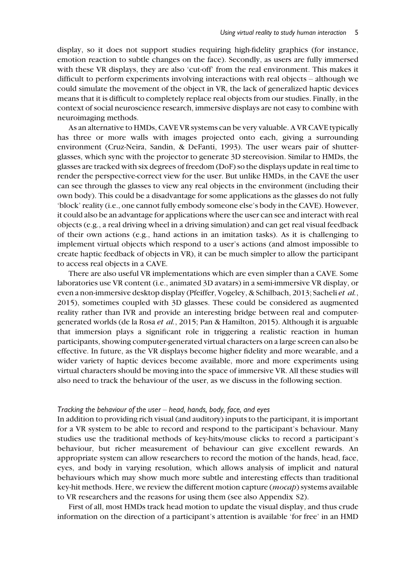display, so it does not support studies requiring high-fidelity graphics (for instance, emotion reaction to subtle changes on the face). Secondly, as users are fully immersed with these VR displays, they are also 'cut-off' from the real environment. This makes it difficult to perform experiments involving interactions with real objects – although we could simulate the movement of the object in VR, the lack of generalized haptic devices means that it is difficult to completely replace real objects from our studies. Finally, in the context of social neuroscience research, immersive displays are not easy to combine with neuroimaging methods.

As an alternative to HMDs, CAVE VR systems can be very valuable. A VR CAVE typically has three or more walls with images projected onto each, giving a surrounding environment (Cruz-Neira, Sandin, & DeFanti, 1993). The user wears pair of shutterglasses, which sync with the projector to generate 3D stereovision. Similar to HMDs, the glasses are tracked with six degrees of freedom (DoF) so the displays update in real time to render the perspective-correct view for the user. But unlike HMDs, in the CAVE the user can see through the glasses to view any real objects in the environment (including their own body). This could be a disadvantage for some applications as the glasses do not fully 'block' reality (i.e., one cannot fully embody someone else's body in the CAVE). However, it could also be an advantage for applications where the user can see and interact with real objects (e.g., a real driving wheel in a driving simulation) and can get real visual feedback of their own actions (e.g., hand actions in an imitation tasks). As it is challenging to implement virtual objects which respond to a user's actions (and almost impossible to create haptic feedback of objects in VR), it can be much simpler to allow the participant to access real objects in a CAVE.

There are also useful VR implementations which are even simpler than a CAVE. Some laboratories use VR content (i.e., animated 3D avatars) in a semi-immersive VR display, or even a non-immersive desktop display (Pfeiffer, Vogeley, & Schilbach, 2013; Sacheli et al., 2015), sometimes coupled with 3D glasses. These could be considered as augmented reality rather than IVR and provide an interesting bridge between real and computergenerated worlds (de la Rosa et al., 2015; Pan & Hamilton, 2015). Although it is arguable that immersion plays a significant role in triggering a realistic reaction in human participants, showing computer-generated virtual characters on a large screen can also be effective. In future, as the VR displays become higher fidelity and more wearable, and a wider variety of haptic devices become available, more and more experiments using virtual characters should be moving into the space of immersive VR. All these studies will also need to track the behaviour of the user, as we discuss in the following section.

#### Tracking the behaviour of the user – head, hands, body, face, and eyes

In addition to providing rich visual (and auditory) inputs to the participant, it is important for a VR system to be able to record and respond to the participant's behaviour. Many studies use the traditional methods of key-hits/mouse clicks to record a participant's behaviour, but richer measurement of behaviour can give excellent rewards. An appropriate system can allow researchers to record the motion of the hands, head, face, eyes, and body in varying resolution, which allows analysis of implicit and natural behaviours which may show much more subtle and interesting effects than traditional key-hit methods. Here, we review the different motion capture (*mocap*) systems available to VR researchers and the reasons for using them (see also Appendix S2).

First of all, most HMDs track head motion to update the visual display, and thus crude information on the direction of a participant's attention is available 'for free' in an HMD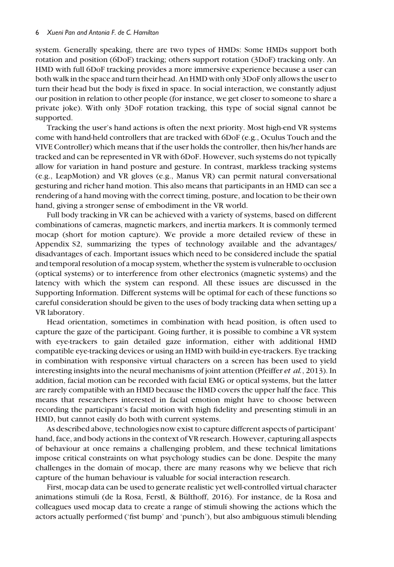system. Generally speaking, there are two types of HMDs: Some HMDs support both rotation and position (6DoF) tracking; others support rotation (3DoF) tracking only. An HMD with full 6DoF tracking provides a more immersive experience because a user can both walk in the space and turn their head. An HMD with only 3DoF only allows the user to turn their head but the body is fixed in space. In social interaction, we constantly adjust our position in relation to other people (for instance, we get closer to someone to share a private joke). With only 3DoF rotation tracking, this type of social signal cannot be supported.

Tracking the user's hand actions is often the next priority. Most high-end VR systems come with hand-held controllers that are tracked with 6DoF (e.g., Oculus Touch and the VIVE Controller) which means that if the user holds the controller, then his/her hands are tracked and can be represented in VR with 6DoF. However, such systems do not typically allow for variation in hand posture and gesture. In contrast, markless tracking systems (e.g., LeapMotion) and VR gloves (e.g., Manus VR) can permit natural conversational gesturing and richer hand motion. This also means that participants in an HMD can see a rendering of a hand moving with the correct timing, posture, and location to be their own hand, giving a stronger sense of embodiment in the VR world.

Full body tracking in VR can be achieved with a variety of systems, based on different combinations of cameras, magnetic markers, and inertia markers. It is commonly termed mocap (short for motion capture). We provide a more detailed review of these in Appendix S2, summarizing the types of technology available and the advantages/ disadvantages of each. Important issues which need to be considered include the spatial and temporal resolution of a mocap system, whether the system is vulnerable to occlusion (optical systems) or to interference from other electronics (magnetic systems) and the latency with which the system can respond. All these issues are discussed in the Supporting Information. Different systems will be optimal for each of these functions so careful consideration should be given to the uses of body tracking data when setting up a VR laboratory.

Head orientation, sometimes in combination with head position, is often used to capture the gaze of the participant. Going further, it is possible to combine a VR system with eye-trackers to gain detailed gaze information, either with additional HMD compatible eye-tracking devices or using an HMD with build-in eye-trackers. Eye tracking in combination with responsive virtual characters on a screen has been used to yield interesting insights into the neural mechanisms of joint attention (Pfeiffer et al., 2013). In addition, facial motion can be recorded with facial EMG or optical systems, but the latter are rarely compatible with an HMD because the HMD covers the upper half the face. This means that researchers interested in facial emotion might have to choose between recording the participant's facial motion with high fidelity and presenting stimuli in an HMD, but cannot easily do both with current systems.

As described above, technologies now exist to capture different aspects of participant' hand, face, and body actions in the context of VR research. However, capturing all aspects of behaviour at once remains a challenging problem, and these technical limitations impose critical constraints on what psychology studies can be done. Despite the many challenges in the domain of mocap, there are many reasons why we believe that rich capture of the human behaviour is valuable for social interaction research.

First, mocap data can be used to generate realistic yet well-controlled virtual character animations stimuli (de la Rosa, Ferstl, & Bülthoff, 2016). For instance, de la Rosa and colleagues used mocap data to create a range of stimuli showing the actions which the actors actually performed ('fist bump' and 'punch'), but also ambiguous stimuli blending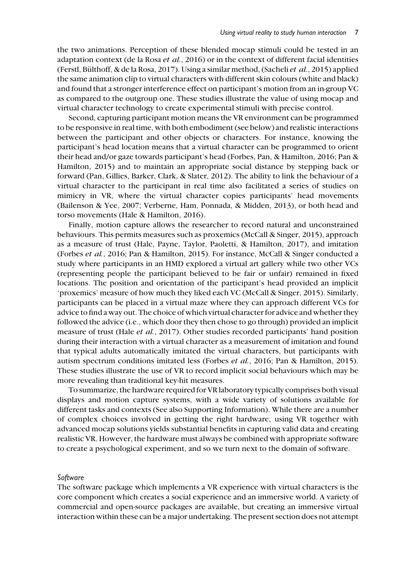the two animations. Perception of these blended mocap stimuli could be tested in an adaptation context (de la Rosa *et al.*, 2016) or in the context of different facial identities (Ferstl, Bülthoff, & de la Rosa, 2017). Using a similar method, (Sacheli et al., 2015) applied the same animation clip to virtual characters with different skin colours (white and black) and found that a stronger interference effect on participant's motion from an in-group VC as compared to the outgroup one. These studies illustrate the value of using mocap and virtual character technology to create experimental stimuli with precise control.

Second, capturing participant motion means the VR environment can be programmed to be responsive in real time, with both embodiment (see below) and realistic interactions between the participant and other objects or characters. For instance, knowing the participant's head location means that a virtual character can be programmed to orient their head and/or gaze towards participant's head (Forbes, Pan, & Hamilton, 2016; Pan & Hamilton, 2015) and to maintain an appropriate social distance by stepping back or forward (Pan, Gillies, Barker, Clark, & Slater, 2012). The ability to link the behaviour of a virtual character to the participant in real time also facilitated a series of studies on mimicry in VR, where the virtual character copies participants' head movements (Bailenson & Yee, 2007; Verberne, Ham, Ponnada, & Midden, 2013), or both head and torso movements (Hale & Hamilton, 2016).

Finally, motion capture allows the researcher to record natural and unconstrained behaviours. This permits measures such as proxemics (McCall & Singer, 2015), approach as a measure of trust (Hale, Payne, Taylor, Paoletti, & Hamilton, 2017), and imitation (Forbes et al., 2016; Pan & Hamilton, 2015). For instance, McCall & Singer conducted a study where participants in an HMD explored a virtual art gallery while two other VCs (representing people the participant believed to be fair or unfair) remained in fixed locations. The position and orientation of the participant's head provided an implicit 'proxemics' measure of how much they liked each VC (McCall & Singer, 2015). Similarly, participants can be placed in a virtual maze where they can approach different VCs for advice to find a way out. The choice of which virtual character for advice and whether they followed the advice (i.e., which door they then chose to go through) provided an implicit measure of trust (Hale *et al.*, 2017). Other studies recorded participants' hand position during their interaction with a virtual character as a measurement of imitation and found that typical adults automatically imitated the virtual characters, but participants with autism spectrum conditions imitated less (Forbes et al., 2016; Pan & Hamilton, 2015). These studies illustrate the use of VR to record implicit social behaviours which may be more revealing than traditional key-hit measures.

To summarize, the hardware required for VR laboratory typically comprises both visual displays and motion capture systems, with a wide variety of solutions available for different tasks and contexts (See also Supporting Information). While there are a number of complex choices involved in getting the right hardware, using VR together with advanced mocap solutions yields substantial benefits in capturing valid data and creating realistic VR. However, the hardware must always be combined with appropriate software to create a psychological experiment, and so we turn next to the domain of software.

#### Software

The software package which implements a VR experience with virtual characters is the core component which creates a social experience and an immersive world. A variety of commercial and open-source packages are available, but creating an immersive virtual interaction within these can be a major undertaking. The present section does not attempt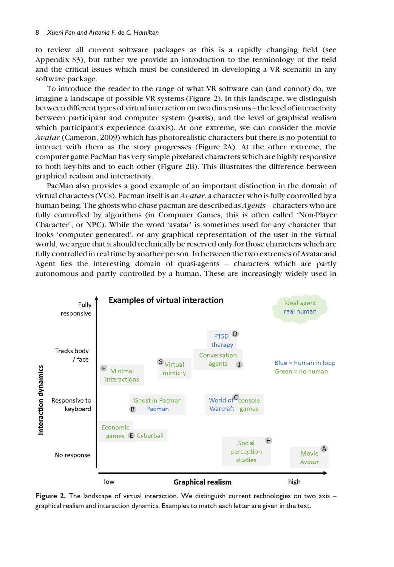to review all current software packages as this is a rapidly changing field (see Appendix S3), but rather we provide an introduction to the terminology of the field and the critical issues which must be considered in developing a VR scenario in any software package.

To introduce the reader to the range of what VR software can (and cannot) do, we imagine a landscape of possible VR systems (Figure 2). In this landscape, we distinguish between different types of virtual interaction on two dimensions – the level of interactivity between participant and computer system  $(\gamma$ -axis), and the level of graphical realism which participant's experience (x-axis). At one extreme, we can consider the movie Avatar (Cameron, 2009) which has photorealistic characters but there is no potential to interact with them as the story progresses (Figure 2A). At the other extreme, the computer game PacMan has very simple pixelated characters which are highly responsive to both key-hits and to each other (Figure 2B). This illustrates the difference between graphical realism and interactivity.

PacMan also provides a good example of an important distinction in the domain of virtual characters (VCs). Pacman itself is an  $A \nu a \tau a r$ , a character who is fully controlled by a human being. The ghosts who chase pacman are described as *Agents* – characters who are fully controlled by algorithms (in Computer Games, this is often called 'Non-Player Character', or NPC). While the word 'avatar' is sometimes used for any character that looks 'computer generated', or any graphical representation of the user in the virtual world, we argue that it should technically be reserved only for those characters which are fully controlled in real time by another person. In between the two extremes of Avatar and Agent lies the interesting domain of quasi-agents – characters which are partly autonomous and partly controlled by a human. These are increasingly widely used in



Figure 2. The landscape of virtual interaction. We distinguish current technologies on two axis – graphical realism and interaction dynamics. Examples to match each letter are given in the text.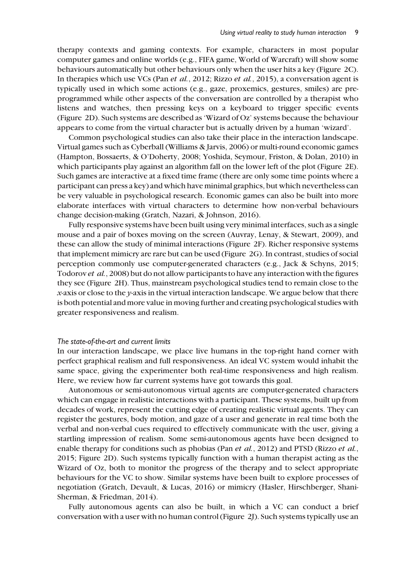therapy contexts and gaming contexts. For example, characters in most popular computer games and online worlds (e.g., FIFA game, World of Warcraft) will show some behaviours automatically but other behaviours only when the user hits a key (Figure 2C). In therapies which use VCs (Pan et al., 2012; Rizzo et al., 2015), a conversation agent is typically used in which some actions (e.g., gaze, proxemics, gestures, smiles) are preprogrammed while other aspects of the conversation are controlled by a therapist who listens and watches, then pressing keys on a keyboard to trigger specific events (Figure 2D). Such systems are described as 'Wizard of Oz' systems because the behaviour appears to come from the virtual character but is actually driven by a human 'wizard'.

Common psychological studies can also take their place in the interaction landscape. Virtual games such as Cyberball (Williams & Jarvis, 2006) or multi-round economic games (Hampton, Bossaerts, & O'Doherty, 2008; Yoshida, Seymour, Friston, & Dolan, 2010) in which participants play against an algorithm fall on the lower left of the plot (Figure 2E). Such games are interactive at a fixed time frame (there are only some time points where a participant can press a key) and which have minimal graphics, but which nevertheless can be very valuable in psychological research. Economic games can also be built into more elaborate interfaces with virtual characters to determine how non-verbal behaviours change decision-making (Gratch, Nazari, & Johnson, 2016).

Fully responsive systems have been built using very minimal interfaces, such as a single mouse and a pair of boxes moving on the screen (Auvray, Lenay, & Stewart, 2009), and these can allow the study of minimal interactions (Figure 2F). Richer responsive systems that implement mimicry are rare but can be used (Figure 2G). In contrast, studies of social perception commonly use computer-generated characters (e.g., Jack & Schyns, 2015; Todorov et al., 2008) but do not allow participants to have any interaction with the figures they see (Figure 2H). Thus, mainstream psychological studies tend to remain close to the x-axis or close to the y-axis in the virtual interaction landscape. We argue below that there is both potential and more value in moving further and creating psychological studies with greater responsiveness and realism.

#### The state-of-the-art and current limits

In our interaction landscape, we place live humans in the top-right hand corner with perfect graphical realism and full responsiveness. An ideal VC system would inhabit the same space, giving the experimenter both real-time responsiveness and high realism. Here, we review how far current systems have got towards this goal.

Autonomous or semi-autonomous virtual agents are computer-generated characters which can engage in realistic interactions with a participant. These systems, built up from decades of work, represent the cutting edge of creating realistic virtual agents. They can register the gestures, body motion, and gaze of a user and generate in real time both the verbal and non-verbal cues required to effectively communicate with the user, giving a startling impression of realism. Some semi-autonomous agents have been designed to enable therapy for conditions such as phobias (Pan *et al.*, 2012) and PTSD (Rizzo *et al.*, 2015; Figure 2D). Such systems typically function with a human therapist acting as the Wizard of Oz, both to monitor the progress of the therapy and to select appropriate behaviours for the VC to show. Similar systems have been built to explore processes of negotiation (Gratch, Devault, & Lucas, 2016) or mimicry (Hasler, Hirschberger, Shani-Sherman, & Friedman, 2014).

Fully autonomous agents can also be built, in which a VC can conduct a brief conversation with a user with no human control (Figure 2J). Such systems typically use an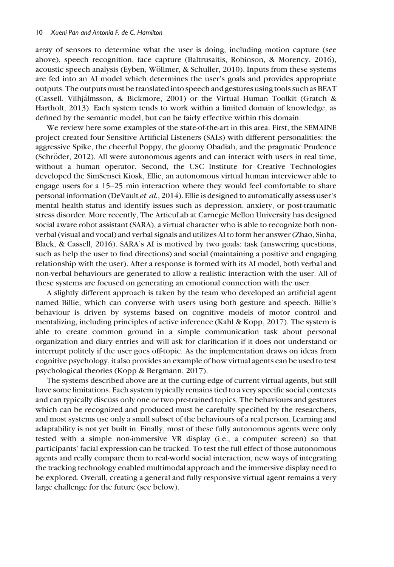array of sensors to determine what the user is doing, including motion capture (see above), speech recognition, face capture (Baltrusaitis, Robinson, & Morency, 2016), acoustic speech analysis (Eyben, Wöllmer, & Schuller, 2010). Inputs from these systems are fed into an AI model which determines the user's goals and provides appropriate outputs. The outputs must be translated into speech and gestures using tools such as BEAT (Cassell, Vilhjálmsson, & Bickmore, 2001) or the Virtual Human Toolkit (Gratch & Hartholt, 2013). Each system tends to work within a limited domain of knowledge, as defined by the semantic model, but can be fairly effective within this domain.

We review here some examples of the state-of-the-art in this area. First, the SEMAINE project created four Sensitive Artificial Listeners (SALs) with different personalities: the aggressive Spike, the cheerful Poppy, the gloomy Obadiah, and the pragmatic Prudence (Schröder, 2012). All were autonomous agents and can interact with users in real time, without a human operator. Second, the USC Institute for Creative Technologies developed the SimSensei Kiosk, Ellie, an autonomous virtual human interviewer able to engage users for a 15–25 min interaction where they would feel comfortable to share personal information (DeVault et al., 2014). Ellie is designed to automatically assess user's mental health status and identify issues such as depression, anxiety, or post-traumatic stress disorder. More recently, The ArticuLab at Carnegie Mellon University has designed social aware robot assistant (SARA), a virtual character who is able to recognize both nonverbal (visual and vocal) and verbal signals and utilizes AI to form her answer (Zhao, Sinha, Black, & Cassell, 2016). SARA's AI is motived by two goals: task (answering questions, such as help the user to find directions) and social (maintaining a positive and engaging relationship with the user). After a response is formed with its AI model, both verbal and non-verbal behaviours are generated to allow a realistic interaction with the user. All of these systems are focused on generating an emotional connection with the user.

A slightly different approach is taken by the team who developed an artificial agent named Billie, which can converse with users using both gesture and speech. Billie's behaviour is driven by systems based on cognitive models of motor control and mentalizing, including principles of active inference (Kahl & Kopp, 2017). The system is able to create common ground in a simple communication task about personal organization and diary entries and will ask for clarification if it does not understand or interrupt politely if the user goes off-topic. As the implementation draws on ideas from cognitive psychology, it also provides an example of how virtual agents can be used to test psychological theories (Kopp & Bergmann, 2017).

The systems described above are at the cutting edge of current virtual agents, but still have some limitations. Each system typically remains tied to a very specific social contexts and can typically discuss only one or two pre-trained topics. The behaviours and gestures which can be recognized and produced must be carefully specified by the researchers, and most systems use only a small subset of the behaviours of a real person. Learning and adaptability is not yet built in. Finally, most of these fully autonomous agents were only tested with a simple non-immersive VR display (i.e., a computer screen) so that participants' facial expression can be tracked. To test the full effect of those autonomous agents and really compare them to real-world social interaction, new ways of integrating the tracking technology enabled multimodal approach and the immersive display need to be explored. Overall, creating a general and fully responsive virtual agent remains a very large challenge for the future (see below).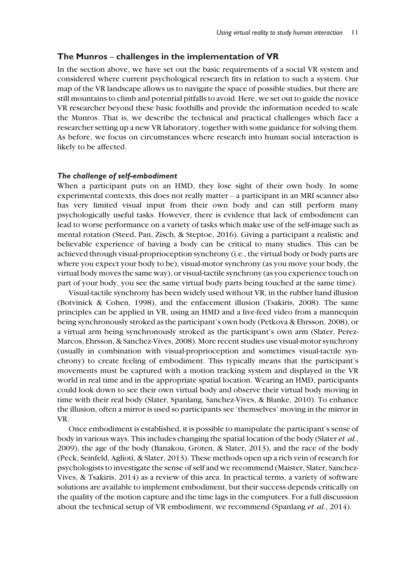## The Munros – challenges in the implementation of VR

In the section above, we have set out the basic requirements of a social VR system and considered where current psychological research fits in relation to such a system. Our map of the VR landscape allows us to navigate the space of possible studies, but there are still mountains to climb and potential pitfalls to avoid. Here, we set out to guide the novice VR researcher beyond these basic foothills and provide the information needed to scale the Munros. That is, we describe the technical and practical challenges which face a researcher setting up a new VR laboratory, together with some guidance for solving them. As before, we focus on circumstances where research into human social interaction is likely to be affected.

## The challenge of self-embodiment

When a participant puts on an HMD, they lose sight of their own body. In some experimental contexts, this does not really matter – a participant in an MRI scanner also has very limited visual input from their own body and can still perform many psychologically useful tasks. However, there is evidence that lack of embodiment can lead to worse performance on a variety of tasks which make use of the self-image such as mental rotation (Steed, Pan, Zisch, & Steptoe, 2016). Giving a participant a realistic and believable experience of having a body can be critical to many studies. This can be achieved through visual-proprioception synchrony (i.e., the virtual body or body parts are where you expect your body to be), visual-motor synchrony (as you move your body, the virtual body moves the same way), or visual-tactile synchrony (as you experience touch on part of your body, you see the same virtual body parts being touched at the same time).

Visual-tactile synchrony has been widely used without VR, in the rubber hand illusion (Botvinick & Cohen, 1998), and the enfacement illusion (Tsakiris, 2008). The same principles can be applied in VR, using an HMD and a live-feed video from a mannequin being synchronously stroked as the participant's own body (Petkova & Ehrsson, 2008), or a virtual arm being synchronously stroked as the participant's own arm (Slater, Perez-Marcos, Ehrsson, & Sanchez-Vives, 2008). More recent studies use visual-motor synchrony (usually in combination with visual-proprioception and sometimes visual-tactile synchrony) to create feeling of embodiment. This typically means that the participant's movements must be captured with a motion tracking system and displayed in the VR world in real time and in the appropriate spatial location. Wearing an HMD, participants could look down to see their own virtual body and observe their virtual body moving in time with their real body (Slater, Spanlang, Sanchez-Vives, & Blanke, 2010). To enhance the illusion, often a mirror is used so participants see 'themselves' moving in the mirror in VR.

Once embodiment is established, it is possible to manipulate the participant's sense of body in various ways. This includes changing the spatial location of the body (Slater *et al.*, 2009), the age of the body (Banakou, Groten, & Slater, 2013), and the race of the body (Peck, Seinfeld, Aglioti, & Slater, 2013). These methods open up a rich vein of research for psychologists to investigate the sense of self and we recommend (Maister, Slater, Sanchez-Vives, & Tsakiris, 2014) as a review of this area. In practical terms, a variety of software solutions are available to implement embodiment, but their success depends critically on the quality of the motion capture and the time lags in the computers. For a full discussion about the technical setup of VR embodiment, we recommend (Spanlang *et al.*, 2014).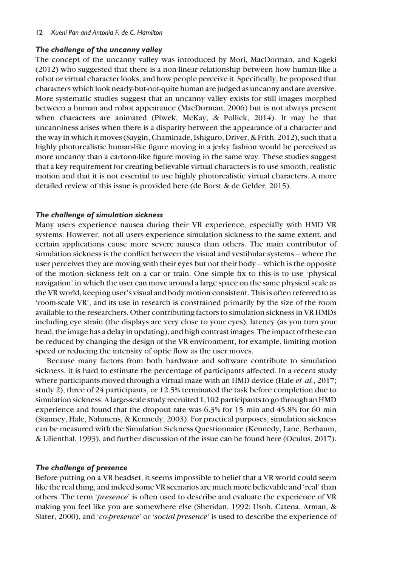#### 12 Xueni Pan and Antonia F. de C. Hamilton

## The challenge of the uncanny valley

The concept of the uncanny valley was introduced by Mori, MacDorman, and Kageki (2012) who suggested that there is a non-linear relationship between how human-like a robot or virtual character looks, and how people perceive it. Specifically, he proposed that characters which look nearly-but-not-quite human are judged as uncanny and are aversive. More systematic studies suggest that an uncanny valley exists for still images morphed between a human and robot appearance (MacDorman, 2006) but is not always present when characters are animated (Piwek, McKay, & Pollick, 2014). It may be that uncanniness arises when there is a disparity between the appearance of a character and the way in which it moves (Saygin, Chaminade, Ishiguro, Driver, & Frith, 2012), such that a highly photorealistic human-like figure moving in a jerky fashion would be perceived as more uncanny than a cartoon-like figure moving in the same way. These studies suggest that a key requirement for creating believable virtual characters is to use smooth, realistic motion and that it is not essential to use highly photorealistic virtual characters. A more detailed review of this issue is provided here (de Borst & de Gelder, 2015).

## The challenge of simulation sickness

Many users experience nausea during their VR experience, especially with HMD VR systems. However, not all users experience simulation sickness to the same extent, and certain applications cause more severe nausea than others. The main contributor of simulation sickness is the conflict between the visual and vestibular systems – where the user perceives they are moving with their eyes but not their body – which is the opposite of the motion sickness felt on a car or train. One simple fix to this is to use 'physical navigation' in which the user can move around a large space on the same physical scale as the VR world, keeping user's visual and body motion consistent. This is often referred to as 'room-scale VR', and its use in research is constrained primarily by the size of the room available to the researchers. Other contributing factors to simulation sickness in VR HMDs including eye strain (the displays are very close to your eyes), latency (as you turn your head, the image has a delay in updating), and high contrast images. The impact of these can be reduced by changing the design of the VR environment, for example, limiting motion speed or reducing the intensity of optic flow as the user moves.

Because many factors from both hardware and software contribute to simulation sickness, it is hard to estimate the percentage of participants affected. In a recent study where participants moved through a virtual maze with an HMD device (Hale *et al.*, 2017; study 2), three of 24 participants, or 12.5% terminated the task before completion due to simulation sickness. A large-scale study recruited 1,102 participants to go through an HMD experience and found that the dropout rate was 6.3% for 15 min and 45.8% for 60 min (Stanney, Hale, Nahmens, & Kennedy, 2003). For practical purposes, simulation sickness can be measured with the Simulation Sickness Questionnaire (Kennedy, Lane, Berbaum, & Lilienthal, 1993), and further discussion of the issue can be found here (Oculus, 2017).

## The challenge of presence

Before putting on a VR headset, it seems impossible to belief that a VR world could seem like the real thing, and indeed some VR scenarios are much more believable and 'real' than others. The term 'presence' is often used to describe and evaluate the experience of VR making you feel like you are somewhere else (Sheridan, 1992; Usoh, Catena, Arman, & Slater, 2000), and 'co-presence' or 'social presence' is used to describe the experience of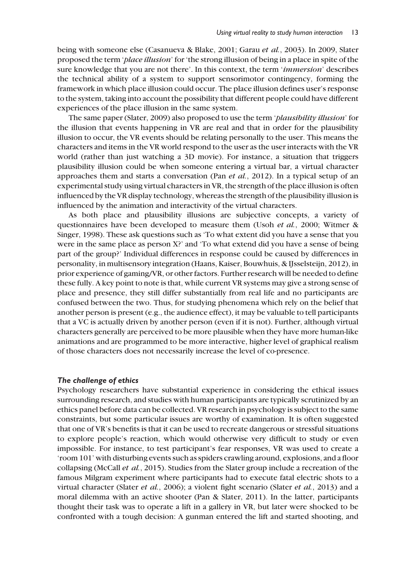being with someone else (Casanueva & Blake, 2001; Garau et al., 2003). In 2009, Slater proposed the term 'place illusion' for 'the strong illusion of being in a place in spite of the sure knowledge that you are not there'. In this context, the term 'immersion' describes the technical ability of a system to support sensorimotor contingency, forming the framework in which place illusion could occur. The place illusion defines user's response to the system, taking into account the possibility that different people could have different experiences of the place illusion in the same system.

The same paper (Slater, 2009) also proposed to use the term *'plausibility illusion'* for the illusion that events happening in VR are real and that in order for the plausibility illusion to occur, the VR events should be relating personally to the user. This means the characters and items in the VR world respond to the user as the user interacts with the VR world (rather than just watching a 3D movie). For instance, a situation that triggers plausibility illusion could be when someone entering a virtual bar, a virtual character approaches them and starts a conversation (Pan et al., 2012). In a typical setup of an experimental study using virtual characters in VR, the strength of the place illusion is often influenced by the VR display technology, whereas the strength of the plausibility illusion is influenced by the animation and interactivity of the virtual characters.

As both place and plausibility illusions are subjective concepts, a variety of questionnaires have been developed to measure them (Usoh et al., 2000; Witmer & Singer, 1998). These ask questions such as 'To what extent did you have a sense that you were in the same place as person X?' and 'To what extend did you have a sense of being part of the group?' Individual differences in response could be caused by differences in personality, in multisensory integration (Haans, Kaiser, Bouwhuis, & IJsselsteijn, 2012), in prior experience of gaming/VR, or other factors. Further research will be needed to define these fully. A key point to note is that, while current VR systems may give a strong sense of place and presence, they still differ substantially from real life and no participants are confused between the two. Thus, for studying phenomena which rely on the belief that another person is present (e.g., the audience effect), it may be valuable to tell participants that a VC is actually driven by another person (even if it is not). Further, although virtual characters generally are perceived to be more plausible when they have more human-like animations and are programmed to be more interactive, higher level of graphical realism of those characters does not necessarily increase the level of co-presence.

#### The challenge of ethics

Psychology researchers have substantial experience in considering the ethical issues surrounding research, and studies with human participants are typically scrutinized by an ethics panel before data can be collected. VR research in psychology is subject to the same constraints, but some particular issues are worthy of examination. It is often suggested that one of VR's benefits is that it can be used to recreate dangerous or stressful situations to explore people's reaction, which would otherwise very difficult to study or even impossible. For instance, to test participant's fear responses, VR was used to create a 'room 101' with disturbing events such as spiders crawling around, explosions, and a floor collapsing (McCall et al., 2015). Studies from the Slater group include a recreation of the famous Milgram experiment where participants had to execute fatal electric shots to a virtual character (Slater *et al.*, 2006); a violent fight scenario (Slater *et al.*, 2013) and a moral dilemma with an active shooter (Pan & Slater, 2011). In the latter, participants thought their task was to operate a lift in a gallery in VR, but later were shocked to be confronted with a tough decision: A gunman entered the lift and started shooting, and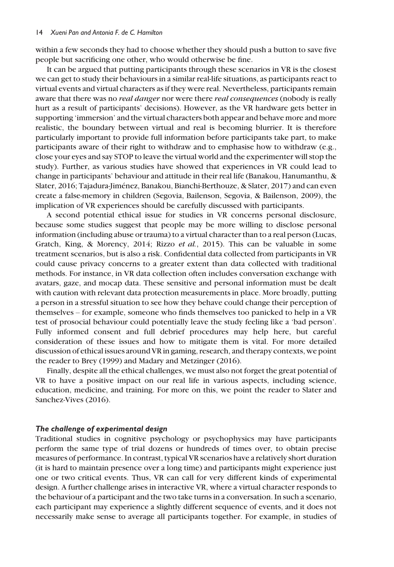within a few seconds they had to choose whether they should push a button to save five people but sacrificing one other, who would otherwise be fine.

It can be argued that putting participants through these scenarios in VR is the closest we can get to study their behaviours in a similar real-life situations, as participants react to virtual events and virtual characters as if they were real. Nevertheless, participants remain aware that there was no *real danger* nor were there *real consequences* (nobody is really hurt as a result of participants' decisions). However, as the VR hardware gets better in supporting 'immersion' and the virtual characters both appear and behave more and more realistic, the boundary between virtual and real is becoming blurrier. It is therefore particularly important to provide full information before participants take part, to make participants aware of their right to withdraw and to emphasise how to withdraw (e.g., close your eyes and say STOP to leave the virtual world and the experimenter will stop the study). Further, as various studies have showed that experiences in VR could lead to change in participants' behaviour and attitude in their real life (Banakou, Hanumanthu, & Slater, 2016; Tajadura-Jiménez, Banakou, Bianchi-Berthouze, & Slater, 2017) and can even create a false-memory in children (Segovia, Bailenson, Segovia, & Bailenson, 2009), the implication of VR experiences should be carefully discussed with participants.

A second potential ethical issue for studies in VR concerns personal disclosure, because some studies suggest that people may be more willing to disclose personal information (including abuse or trauma) to a virtual character than to a real person (Lucas, Gratch, King, & Morency, 2014; Rizzo et al., 2015). This can be valuable in some treatment scenarios, but is also a risk. Confidential data collected from participants in VR could cause privacy concerns to a greater extent than data collected with traditional methods. For instance, in VR data collection often includes conversation exchange with avatars, gaze, and mocap data. These sensitive and personal information must be dealt with caution with relevant data protection measurements in place. More broadly, putting a person in a stressful situation to see how they behave could change their perception of themselves – for example, someone who finds themselves too panicked to help in a VR test of prosocial behaviour could potentially leave the study feeling like a 'bad person'. Fully informed consent and full debrief procedures may help here, but careful consideration of these issues and how to mitigate them is vital. For more detailed discussion of ethical issues around VR in gaming, research, and therapy contexts, we point the reader to Brey (1999) and Madary and Metzinger (2016).

Finally, despite all the ethical challenges, we must also not forget the great potential of VR to have a positive impact on our real life in various aspects, including science, education, medicine, and training. For more on this, we point the reader to Slater and Sanchez-Vives (2016).

#### The challenge of experimental design

Traditional studies in cognitive psychology or psychophysics may have participants perform the same type of trial dozens or hundreds of times over, to obtain precise measures of performance. In contrast, typical VR scenarios have a relatively short duration (it is hard to maintain presence over a long time) and participants might experience just one or two critical events. Thus, VR can call for very different kinds of experimental design. A further challenge arises in interactive VR, where a virtual character responds to the behaviour of a participant and the two take turns in a conversation. In such a scenario, each participant may experience a slightly different sequence of events, and it does not necessarily make sense to average all participants together. For example, in studies of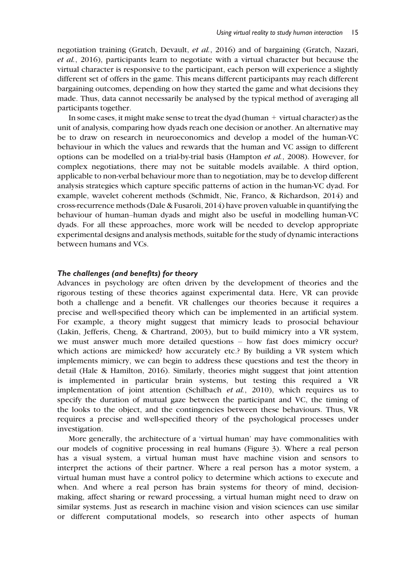negotiation training (Gratch, Devault, et al., 2016) and of bargaining (Gratch, Nazari, et al., 2016), participants learn to negotiate with a virtual character but because the virtual character is responsive to the participant, each person will experience a slightly different set of offers in the game. This means different participants may reach different bargaining outcomes, depending on how they started the game and what decisions they made. Thus, data cannot necessarily be analysed by the typical method of averaging all participants together.

In some cases, it might make sense to treat the dyad (human + virtual character) as the unit of analysis, comparing how dyads reach one decision or another. An alternative may be to draw on research in neuroeconomics and develop a model of the human-VC behaviour in which the values and rewards that the human and VC assign to different options can be modelled on a trial-by-trial basis (Hampton et al., 2008). However, for complex negotiations, there may not be suitable models available. A third option, applicable to non-verbal behaviour more than to negotiation, may be to develop different analysis strategies which capture specific patterns of action in the human-VC dyad. For example, wavelet coherent methods (Schmidt, Nie, Franco, & Richardson, 2014) and cross-recurrence methods (Dale & Fusaroli, 2014) have proven valuable in quantifying the behaviour of human–human dyads and might also be useful in modelling human-VC dyads. For all these approaches, more work will be needed to develop appropriate experimental designs and analysis methods, suitable for the study of dynamic interactions between humans and VCs.

## The challenges (and benefits) for theory

Advances in psychology are often driven by the development of theories and the rigorous testing of these theories against experimental data. Here, VR can provide both a challenge and a benefit. VR challenges our theories because it requires a precise and well-specified theory which can be implemented in an artificial system. For example, a theory might suggest that mimicry leads to prosocial behaviour (Lakin, Jefferis, Cheng, & Chartrand, 2003), but to build mimicry into a VR system, we must answer much more detailed questions – how fast does mimicry occur? which actions are mimicked? how accurately etc.? By building a VR system which implements mimicry, we can begin to address these questions and test the theory in detail (Hale & Hamilton, 2016). Similarly, theories might suggest that joint attention is implemented in particular brain systems, but testing this required a VR implementation of joint attention (Schilbach et al., 2010), which requires us to specify the duration of mutual gaze between the participant and VC, the timing of the looks to the object, and the contingencies between these behaviours. Thus, VR requires a precise and well-specified theory of the psychological processes under investigation.

More generally, the architecture of a 'virtual human' may have commonalities with our models of cognitive processing in real humans (Figure 3). Where a real person has a visual system, a virtual human must have machine vision and sensors to interpret the actions of their partner. Where a real person has a motor system, a virtual human must have a control policy to determine which actions to execute and when. And where a real person has brain systems for theory of mind, decisionmaking, affect sharing or reward processing, a virtual human might need to draw on similar systems. Just as research in machine vision and vision sciences can use similar or different computational models, so research into other aspects of human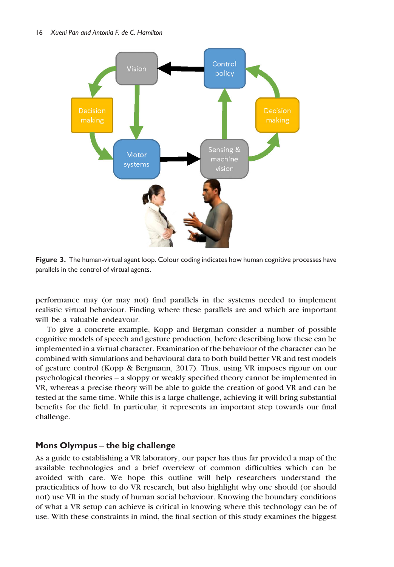

Figure 3. The human-virtual agent loop. Colour coding indicates how human cognitive processes have parallels in the control of virtual agents.

performance may (or may not) find parallels in the systems needed to implement realistic virtual behaviour. Finding where these parallels are and which are important will be a valuable endeavour.

To give a concrete example, Kopp and Bergman consider a number of possible cognitive models of speech and gesture production, before describing how these can be implemented in a virtual character. Examination of the behaviour of the character can be combined with simulations and behavioural data to both build better VR and test models of gesture control (Kopp & Bergmann, 2017). Thus, using VR imposes rigour on our psychological theories – a sloppy or weakly specified theory cannot be implemented in VR, whereas a precise theory will be able to guide the creation of good VR and can be tested at the same time. While this is a large challenge, achieving it will bring substantial benefits for the field. In particular, it represents an important step towards our final challenge.

## Mons Olympus – the big challenge

As a guide to establishing a VR laboratory, our paper has thus far provided a map of the available technologies and a brief overview of common difficulties which can be avoided with care. We hope this outline will help researchers understand the practicalities of how to do VR research, but also highlight why one should (or should not) use VR in the study of human social behaviour. Knowing the boundary conditions of what a VR setup can achieve is critical in knowing where this technology can be of use. With these constraints in mind, the final section of this study examines the biggest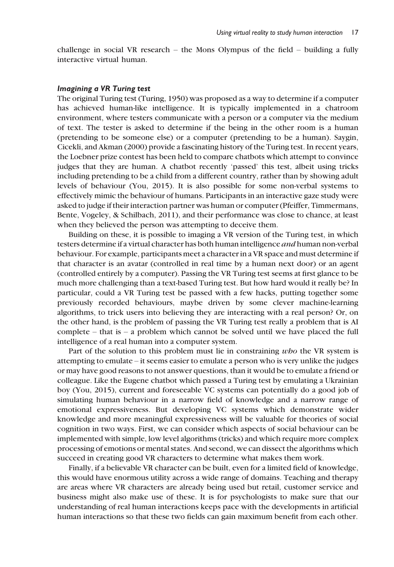challenge in social VR research – the Mons Olympus of the field – building a fully interactive virtual human.

#### Imagining a VR Turing test

The original Turing test (Turing, 1950) was proposed as a way to determine if a computer has achieved human-like intelligence. It is typically implemented in a chatroom environment, where testers communicate with a person or a computer via the medium of text. The tester is asked to determine if the being in the other room is a human (pretending to be someone else) or a computer (pretending to be a human). Saygin, Cicekli, and Akman (2000) provide a fascinating history of the Turing test. In recent years, the Loebner prize contest has been held to compare chatbots which attempt to convince judges that they are human. A chatbot recently 'passed' this test, albeit using tricks including pretending to be a child from a different country, rather than by showing adult levels of behaviour (You, 2015). It is also possible for some non-verbal systems to effectively mimic the behaviour of humans. Participants in an interactive gaze study were asked to judge if their interaction partner was human or computer (Pfeiffer, Timmermans, Bente, Vogeley, & Schilbach, 2011), and their performance was close to chance, at least when they believed the person was attempting to deceive them.

Building on these, it is possible to imaging a VR version of the Turing test, in which testers determine if a virtual character has both human intelligence and human non-verbal behaviour. For example, participants meet a character in a VR space and must determine if that character is an avatar (controlled in real time by a human next door) or an agent (controlled entirely by a computer). Passing the VR Turing test seems at first glance to be much more challenging than a text-based Turing test. But how hard would it really be? In particular, could a VR Turing test be passed with a few hacks, putting together some previously recorded behaviours, maybe driven by some clever machine-learning algorithms, to trick users into believing they are interacting with a real person? Or, on the other hand, is the problem of passing the VR Turing test really a problem that is AI complete – that is – a problem which cannot be solved until we have placed the full intelligence of a real human into a computer system.

Part of the solution to this problem must lie in constraining who the VR system is attempting to emulate – it seems easier to emulate a person who is very unlike the judges or may have good reasons to not answer questions, than it would be to emulate a friend or colleague. Like the Eugene chatbot which passed a Turing test by emulating a Ukrainian boy (You, 2015), current and foreseeable VC systems can potentially do a good job of simulating human behaviour in a narrow field of knowledge and a narrow range of emotional expressiveness. But developing VC systems which demonstrate wider knowledge and more meaningful expressiveness will be valuable for theories of social cognition in two ways. First, we can consider which aspects of social behaviour can be implemented with simple, low level algorithms (tricks) and which require more complex processing of emotions or mental states. And second, we can dissect the algorithms which succeed in creating good VR characters to determine what makes them work.

Finally, if a believable VR character can be built, even for a limited field of knowledge, this would have enormous utility across a wide range of domains. Teaching and therapy are areas where VR characters are already being used but retail, customer service and business might also make use of these. It is for psychologists to make sure that our understanding of real human interactions keeps pace with the developments in artificial human interactions so that these two fields can gain maximum benefit from each other.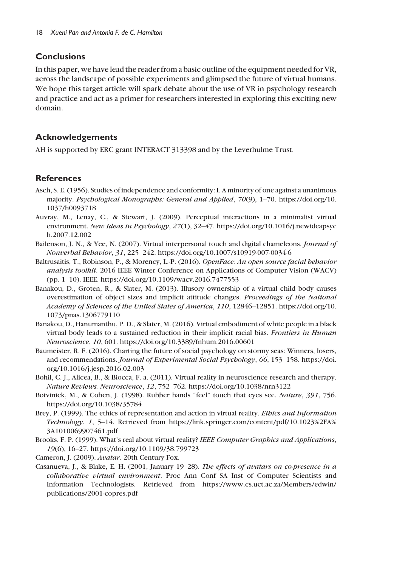# Conclusions

In this paper, we have lead the reader from a basic outline of the equipment needed for VR, across the landscape of possible experiments and glimpsed the future of virtual humans. We hope this target article will spark debate about the use of VR in psychology research and practice and act as a primer for researchers interested in exploring this exciting new domain.

# Acknowledgements

AH is supported by ERC grant INTERACT 313398 and by the Leverhulme Trust.

# **References**

- Asch, S. E. (1956). Studies of independence and conformity: I. A minority of one against a unanimous majority. Psychological Monographs: General and Applied, 70(9), 1–70. [https://doi.org/10.](https://doi.org/10.1037/h0093718) [1037/h0093718](https://doi.org/10.1037/h0093718)
- Auvray, M., Lenay, C., & Stewart, J. (2009). Perceptual interactions in a minimalist virtual environment. New Ideas in Psychology, 27(1), 32–47. [https://doi.org/10.1016/j.newideapsyc](https://doi.org/10.1016/j.newideapsych.2007.12.002) [h.2007.12.002](https://doi.org/10.1016/j.newideapsych.2007.12.002)
- Bailenson, J. N., & Yee, N. (2007). Virtual interpersonal touch and digital chameleons. *Journal of* Nonverbal Behavior, 31, 225–242.<https://doi.org/10.1007/s10919-007-0034-6>
- Baltrusaitis, T., Robinson, P., & Morency, L.-P. (2016). OpenFace: An open source facial behavior analysis toolkit. 2016 IEEE Winter Conference on Applications of Computer Vision (WACV) (pp. 1–10). IEEE.<https://doi.org/10.1109/wacv.2016.7477553>
- Banakou, D., Groten, R., & Slater, M. (2013). Illusory ownership of a virtual child body causes overestimation of object sizes and implicit attitude changes. Proceedings of the National Academy of Sciences of the United States of America, 110, 12846–12851. [https://doi.org/10.](https://doi.org/10.1073/pnas.1306779110) [1073/pnas.1306779110](https://doi.org/10.1073/pnas.1306779110)
- Banakou, D., Hanumanthu, P. D., & Slater, M. (2016). Virtual embodiment of white people in a black virtual body leads to a sustained reduction in their implicit racial bias. Frontiers in Human Neuroscience, 10, 601.<https://doi.org/10.3389/fnhum.2016.00601>
- Baumeister, R. F. (2016). Charting the future of social psychology on stormy seas: Winners, losers, and recommendations. Journal of Experimental Social Psychology, 66, 153–158. [https://doi.](https://doi.org/10.1016/j.jesp.2016.02.003) [org/10.1016/j.jesp.2016.02.003](https://doi.org/10.1016/j.jesp.2016.02.003)
- Bohil, C. J., Alicea, B., & Biocca, F. a. (2011). Virtual reality in neuroscience research and therapy. Nature Reviews. Neuroscience, 12, 752–762.<https://doi.org/10.1038/nrn3122>
- Botvinick, M., & Cohen, J. (1998). Rubber hands "feel" touch that eyes see. Nature, 391, 756. <https://doi.org/10.1038/35784>
- Brey, P. (1999). The ethics of representation and action in virtual reality. *Ethics and Information* Technology, 1, 5–14. Retrieved from [https://link.springer.com/content/pdf/10.1023%2FA%](https://link.springer.com/content/pdf/10.1023%2FA%3A1010069907461.pdf) [3A1010069907461.pdf](https://link.springer.com/content/pdf/10.1023%2FA%3A1010069907461.pdf)
- Brooks, F. P. (1999). What's real about virtual reality? IEEE Computer Graphics and Applications, 19(6), 16–27.<https://doi.org/10.1109/38.799723>
- Cameron, J. (2009). Avatar. 20th Century Fox.
- Casanueva, J., & Blake, E. H. (2001, January 19–28). The effects of avatars on co-presence in a collaborative virtual environment. Proc Ann Conf SA Inst of Computer Scientists and Information Technologists. Retrieved from [https://www.cs.uct.ac.za/Members/edwin/](https://www.cs.uct.ac.za/Members/edwin/publications/2001-copres.pdf) [publications/2001-copres.pdf](https://www.cs.uct.ac.za/Members/edwin/publications/2001-copres.pdf)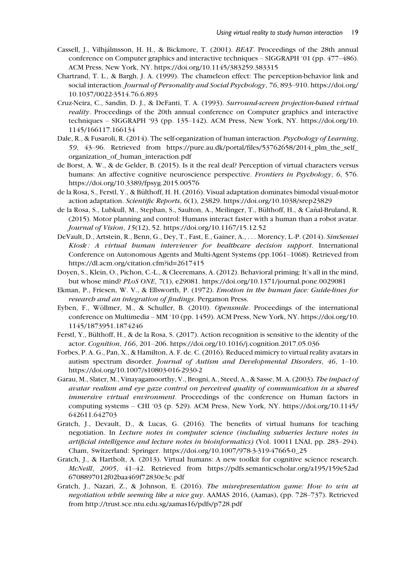- Cassell, J., Vilhjálmsson, H. H., & Bickmore, T. (2001). *BEAT*. Proceedings of the 28th annual conference on Computer graphics and interactive techniques – SIGGRAPH '01 (pp. 477–486). ACM Press, New York, NY.<https://doi.org/10.1145/383259.383315>
- Chartrand, T. L., & Bargh, J. A. (1999). The chameleon effect: The perception-behavior link and social interaction. Journal of Personality and Social Psychology, 76, 893–910. [https://doi.org/](https://doi.org/10.1037/0022-3514.76.6.893) [10.1037/0022-3514.76.6.893](https://doi.org/10.1037/0022-3514.76.6.893)
- Cruz-Neira, C., Sandin, D. J., & DeFanti, T. A. (1993). Surround-screen projection-based virtual *reality*. Proceedings of the 20th annual conference on Computer graphics and interactive techniques – SIGGRAPH '93 (pp. 135–142). ACM Press, New York, NY. [https://doi.org/10.](https://doi.org/10.1145/166117.166134) [1145/166117.166134](https://doi.org/10.1145/166117.166134)
- Dale, R., & Fusaroli, R. (2014). The self-organization of human interaction. Psychology of Learning, 59, 43–96. Retrieved from [https://pure.au.dk/portal/files/53762658/2014\\_plm\\_the\\_self\\_](https://pure.au.dk/portal/files/53762658/2014_plm_the_self_organization_of_human_interaction.pdf) [organization\\_of\\_human\\_interaction.pdf](https://pure.au.dk/portal/files/53762658/2014_plm_the_self_organization_of_human_interaction.pdf)
- de Borst, A. W., & de Gelder, B. (2015). Is it the real deal? Perception of virtual characters versus humans: An affective cognitive neuroscience perspective. Frontiers in Psychology, 6, 576. <https://doi.org/10.3389/fpsyg.2015.00576>
- de la Rosa, S., Ferstl, Y., & Bülthoff, H. H. (2016). Visual adaptation dominates bimodal visual-motor action adaptation. Scientific Reports, 6(1), 23829.<https://doi.org/10.1038/srep23829>
- de la Rosa, S., Lubkull, M., Stephan, S., Saulton, A., Meilinger, T., Bülthoff, H., & Cañal-Bruland, R. (2015). Motor planning and control: Humans interact faster with a human than a robot avatar. Journal of Vision, 15(12), 52.<https://doi.org/10.1167/15.12.52>
- DeVault, D., Artstein, R., Benn, G., Dey, T., Fast, E., Gainer, A., ... Morency, L.-P. (2014). SimSensei Kiosk : A virtual human interviewer for healthcare decision support. International Conference on Autonomous Agents and Multi-Agent Systems (pp.1061–1068). Retrieved from <https://dl.acm.org/citation.cfm?id=2617415>
- Doyen, S., Klein, O., Pichon, C.-L., & Cleeremans, A. (2012). Behavioral priming: It's all in the mind, but whose mind? PLoS ONE, 7(1), e29081.<https://doi.org/10.1371/journal.pone.0029081>
- Ekman, P., Friesen, W. V., & Ellsworth, P. (1972). Emotion in the human face: Guide-lines for research and an integration of findings. Pergamon Press.
- Eyben, F., Wöllmer, M., & Schuller, B. (2010). *Opensmile*. Proceedings of the international conference on Multimedia – MM '10 (pp. 1459). ACM Press, New York, NY. [https://doi.org/10.](https://doi.org/10.1145/1873951.1874246) [1145/1873951.1874246](https://doi.org/10.1145/1873951.1874246)
- Ferstl, Y., Bulthoff, H., & de la Rosa, S. (2017). Action recognition is sensitive to the identity of the actor. Cognition, 166, 201–206.<https://doi.org/10.1016/j.cognition.2017.05.036>
- Forbes, P. A. G., Pan, X., & Hamilton, A. F. de. C. (2016). Reduced mimicry to virtual reality avatars in autism spectrum disorder. Journal of Autism and Developmental Disorders, 46, 1–10. <https://doi.org/10.1007/s10803-016-2930-2>
- Garau, M., Slater, M., Vinayagamoorthy, V., Brogni, A., Steed, A., & Sasse, M. A. (2003). The impact of avatar realism and eye gaze control on perceived quality of communication in a shared immersive virtual environment. Proceedings of the conference on Human factors in computing systems – CHI '03 (p. 529). ACM Press, New York, NY. [https://doi.org/10.1145/](https://doi.org/10.1145/642611.642703) [642611.642703](https://doi.org/10.1145/642611.642703)
- Gratch, J., Devault, D., & Lucas, G. (2016). The benefits of virtual humans for teaching negotiation. In Lecture notes in computer science (including subseries lecture notes in artificial intelligence and lecture notes in bioinformatics) (Vol. 10011 LNAI, pp. 283–294). Cham, Switzerland: Springer. [https://doi.org/10.1007/978-3-319-47665-0\\_25](https://doi.org/10.1007/978-3-319-47665-0_25)
- Gratch, J., & Hartholt, A. (2013). Virtual humans: A new toolkit for cognitive science research. McNeill, 2005, 41–42. Retrieved from [https://pdfs.semanticscholar.org/a195/159e52ad](https://pdfs.semanticscholar.org/a195/159e52ad6708897012f02baa469f72830e3c.pdf) [6708897012f02baa469f72830e3c.pdf](https://pdfs.semanticscholar.org/a195/159e52ad6708897012f02baa469f72830e3c.pdf)
- Gratch, J., Nazari, Z., & Johnson, E. (2016). The misrepresentation game: How to win at negotiation while seeming like a nice guy. AAMAS 2016, (Aamas), (pp. 728–737). Retrieved from<http://trust.sce.ntu.edu.sg/aamas16/pdfs/p728.pdf>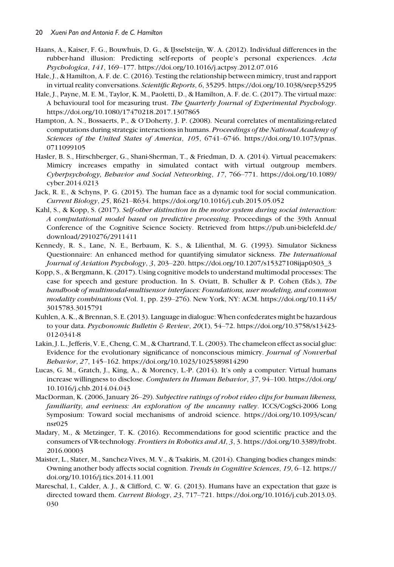- Haans, A., Kaiser, F. G., Bouwhuis, D. G., & IJsselsteijn, W. A. (2012). Individual differences in the rubber-hand illusion: Predicting self-reports of people's personal experiences. Acta Psychologica, 141, 169–177.<https://doi.org/10.1016/j.actpsy.2012.07.016>
- Hale, J., & Hamilton, A. F. de. C. (2016). Testing the relationship between mimicry, trust and rapport in virtual reality conversations. Scientific Reports, 6, 35295.<https://doi.org/10.1038/srep35295>
- Hale, J., Payne, M. E. M., Taylor, K. M., Paoletti, D., & Hamilton, A. F. de. C. (2017). The virtual maze: A behavioural tool for measuring trust. The Quarterly Journal of Experimental Psychology. <https://doi.org/10.1080/17470218.2017.1307865>
- Hampton, A. N., Bossaerts, P., & O'Doherty, J. P. (2008). Neural correlates of mentalizing-related computations during strategic interactions in humans. Proceedings of the National Academy of Sciences of the United States of America, 105, 6741–6746. [https://doi.org/10.1073/pnas.](https://doi.org/10.1073/pnas.0711099105) [0711099105](https://doi.org/10.1073/pnas.0711099105)
- Hasler, B. S., Hirschberger, G., Shani-Sherman, T., & Friedman, D. A. (2014). Virtual peacemakers: Mimicry increases empathy in simulated contact with virtual outgroup members. Cyberpsychology, Behavior and Social Networking, 17, 766–771. [https://doi.org/10.1089/](https://doi.org/10.1089/cyber.2014.0213) [cyber.2014.0213](https://doi.org/10.1089/cyber.2014.0213)
- Jack, R. E., & Schyns, P. G. (2015). The human face as a dynamic tool for social communication. Current Biology, 25, R621–R634.<https://doi.org/10.1016/j.cub.2015.05.052>
- Kahl, S., & Kopp, S. (2017). Self-other distinction in the motor system during social interaction: A computational model based on predictive processing. Proceedings of the 39th Annual Conference of the Cognitive Science Society. Retrieved from [https://pub.uni-bielefeld.de/](https://pub.uni-bielefeld.de/download/2910276/2911411) [download/2910276/2911411](https://pub.uni-bielefeld.de/download/2910276/2911411)
- Kennedy, R. S., Lane, N. E., Berbaum, K. S., & Lilienthal, M. G. (1993). Simulator Sickness Questionnaire: An enhanced method for quantifying simulator sickness. The International Journal of Aviation Psychology, 3, 203–220. [https://doi.org/10.1207/s15327108ijap0303\\_3](https://doi.org/10.1207/s15327108ijap0303_3)
- Kopp, S., & Bergmann, K. (2017). Using cognitive models to understand multimodal processes: The case for speech and gesture production. In S. Oviatt, B. Schuller & P. Cohen (Eds.), The handbook of multimodal-multisensor interfaces: Foundations, user modeling, and common modality combinations (Vol. 1, pp. 239–276). New York, NY: ACM. [https://doi.org/10.1145/](https://doi.org/10.1145/3015783.3015791) [3015783.3015791](https://doi.org/10.1145/3015783.3015791)
- Kuhlen, A. K., & Brennan, S. E. (2013). Language in dialogue: When confederates might be hazardous to your data. Psychonomic Bulletin & Review, 20(1), 54-72. [https://doi.org/10.3758/s13423-](https://doi.org/10.3758/s13423-012-0341-8) [012-0341-8](https://doi.org/10.3758/s13423-012-0341-8)
- Lakin, J. L., Jefferis, V. E., Cheng, C. M., & Chartrand, T. L. (2003). The chameleon effect as social glue: Evidence for the evolutionary significance of nonconscious mimicry. Journal of Nonverbal Behavior, 27, 145–162.<https://doi.org/10.1023/1025389814290>
- Lucas, G. M., Gratch, J., King, A., & Morency, L.-P. (2014). It's only a computer: Virtual humans increase willingness to disclose. Computers in Human Behavior, 37, 94–100. [https://doi.org/](https://doi.org/10.1016/j.chb.2014.04.043) [10.1016/j.chb.2014.04.043](https://doi.org/10.1016/j.chb.2014.04.043)
- MacDorman, K. (2006, January 26–29). Subjective ratings of robot video clips for human likeness, familiarity, and eeriness: An exploration of the uncanny valley. ICCS/CogSci-2006 Long Symposium: Toward social mechanisms of android science. [https://doi.org/10.1093/scan/](https://doi.org/10.1093/scan/nsr025) [nsr025](https://doi.org/10.1093/scan/nsr025)
- Madary, M., & Metzinger, T. K. (2016). Recommendations for good scientific practice and the consumers of VR-technology. Frontiers in Robotics and AI, 3, 3. [https://doi.org/10.3389/frobt.](https://doi.org/10.3389/frobt.2016.00003) [2016.00003](https://doi.org/10.3389/frobt.2016.00003)
- Maister, L., Slater, M., Sanchez-Vives, M. V., & Tsakiris, M. (2014). Changing bodies changes minds: Owning another body affects social cognition. Trends in Cognitive Sciences, 19, 6–12. [https://](https://doi.org/10.1016/j.tics.2014.11.001) [doi.org/10.1016/j.tics.2014.11.001](https://doi.org/10.1016/j.tics.2014.11.001)
- Mareschal, I., Calder, A. J., & Clifford, C. W. G. (2013). Humans have an expectation that gaze is directed toward them. *Current Biology*, 23, 717–721. [https://doi.org/10.1016/j.cub.2013.03.](https://doi.org/10.1016/j.cub.2013.03.030) [030](https://doi.org/10.1016/j.cub.2013.03.030)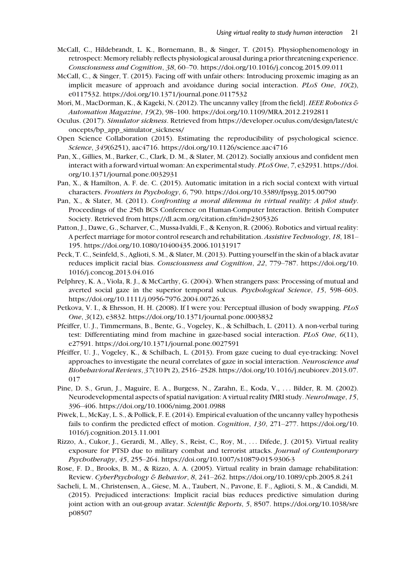- McCall, C., Hildebrandt, L. K., Bornemann, B., & Singer, T. (2015). Physiophenomenology in retrospect: Memory reliably reflects physiological arousal during a prior threatening experience. Consciousness and Cognition, 38, 60–70.<https://doi.org/10.1016/j.concog.2015.09.011>
- McCall, C., & Singer, T. (2015). Facing off with unfair others: Introducing proxemic imaging as an implicit measure of approach and avoidance during social interaction. PLoS One, 10(2), e0117532.<https://doi.org/10.1371/journal.pone.0117532>
- Mori, M., MacDorman, K., & Kageki, N. (2012). The uncanny valley [from the field]. IEEE Robotics  $\mathcal E$ Automation Magazine, 19(2), 98–100.<https://doi.org/10.1109/MRA.2012.2192811>
- Oculus. (2017). Simulator sickness. Retrieved from [https://developer.oculus.com/design/latest/c](https://developer.oculus.com/design/latest/concepts/bp_app_simulator_sickness/) [oncepts/bp\\_app\\_simulator\\_sickness/](https://developer.oculus.com/design/latest/concepts/bp_app_simulator_sickness/)
- Open Science Collaboration (2015). Estimating the reproducibility of psychological science. Science, 349(6251), aac4716.<https://doi.org/10.1126/science.aac4716>
- Pan, X., Gillies, M., Barker, C., Clark, D. M., & Slater, M. (2012). Socially anxious and confident men interact with a forward virtual woman: An experimental study. PLoS One, 7, e32931. [https://doi.](https://doi.org/10.1371/journal.pone.0032931) [org/10.1371/journal.pone.0032931](https://doi.org/10.1371/journal.pone.0032931)
- Pan, X., & Hamilton, A. F. de. C. (2015). Automatic imitation in a rich social context with virtual characters. Frontiers in Psychology, 6, 790.<https://doi.org/10.3389/fpsyg.2015.00790>
- Pan, X., & Slater, M. (2011). Confronting a moral dilemma in virtual reality: A pilot study. Proceedings of the 25th BCS Conference on Human-Computer Interaction. British Computer Society. Retrieved from<https://dl.acm.org/citation.cfm?id=2305326>
- Patton, J., Dawe, G., Scharver, C., Mussa-Ivaldi, F., & Kenyon, R. (2006). Robotics and virtual reality: A perfect marriage for motor control research and rehabilitation. Assistive Technology, 18, 181– 195.<https://doi.org/10.1080/10400435.2006.10131917>
- Peck, T. C., Seinfeld, S., Aglioti, S. M., & Slater, M. (2013). Putting yourself in the skin of a black avatar reduces implicit racial bias. Consciousness and Cognition, 22, 779–787. [https://doi.org/10.](https://doi.org/10.1016/j.concog.2013.04.016) [1016/j.concog.2013.04.016](https://doi.org/10.1016/j.concog.2013.04.016)
- Pelphrey, K. A., Viola, R. J., & McCarthy, G. (2004). When strangers pass: Processing of mutual and averted social gaze in the superior temporal sulcus. Psychological Science, 15, 598-603. <https://doi.org/10.1111/j.0956-7976.2004.00726.x>
- Petkova, V. I., & Ehrsson, H. H. (2008). If I were you: Perceptual illusion of body swapping. PLoS One, 3(12), e3832.<https://doi.org/10.1371/journal.pone.0003832>
- Pfeiffer, U. J., Timmermans, B., Bente, G., Vogeley, K., & Schilbach, L. (2011). A non-verbal turing test: Differentiating mind from machine in gaze-based social interaction. PLoS One, 6(11), e27591.<https://doi.org/10.1371/journal.pone.0027591>
- Pfeiffer, U. J., Vogeley, K., & Schilbach, L. (2013). From gaze cueing to dual eye-tracking: Novel approaches to investigate the neural correlates of gaze in social interaction. Neuroscience and Biobehavioral Reviews, 37(10 Pt 2), 2516–2528. [https://doi.org/10.1016/j.neubiorev.2013.07.](https://doi.org/10.1016/j.neubiorev.2013.07.017) [017](https://doi.org/10.1016/j.neubiorev.2013.07.017)
- Pine, D. S., Grun, J., Maguire, E. A., Burgess, N., Zarahn, E., Koda, V., ... Bilder, R. M. (2002). Neurodevelopmental aspects of spatial navigation: A virtual reality fMRI study. NeuroImage, 15, 396–406.<https://doi.org/10.1006/nimg.2001.0988>
- Piwek, L., McKay, L. S., & Pollick, F. E. (2014). Empirical evaluation of the uncanny valley hypothesis fails to confirm the predicted effect of motion. Cognition, 130, 271–277. [https://doi.org/10.](https://doi.org/10.1016/j.cognition.2013.11.001) [1016/j.cognition.2013.11.001](https://doi.org/10.1016/j.cognition.2013.11.001)
- Rizzo, A., Cukor, J., Gerardi, M., Alley, S., Reist, C., Roy, M., ... Difede, J. (2015). Virtual reality exposure for PTSD due to military combat and terrorist attacks. Journal of Contemporary Psychotherapy, 45, 255–264.<https://doi.org/10.1007/s10879-015-9306-3>
- Rose, F. D., Brooks, B. M., & Rizzo, A. A. (2005). Virtual reality in brain damage rehabilitation: Review. CyberPsychology & Behavior,  $8, 241-262$ .<https://doi.org/10.1089/cpb.2005.8.241>
- Sacheli, L. M., Christensen, A., Giese, M. A., Taubert, N., Pavone, E. F., Aglioti, S. M., & Candidi, M. (2015). Prejudiced interactions: Implicit racial bias reduces predictive simulation during joint action with an out-group avatar. Scientific Reports, 5, 8507. [https://doi.org/10.1038/sre](https://doi.org/10.1038/srep08507) [p08507](https://doi.org/10.1038/srep08507)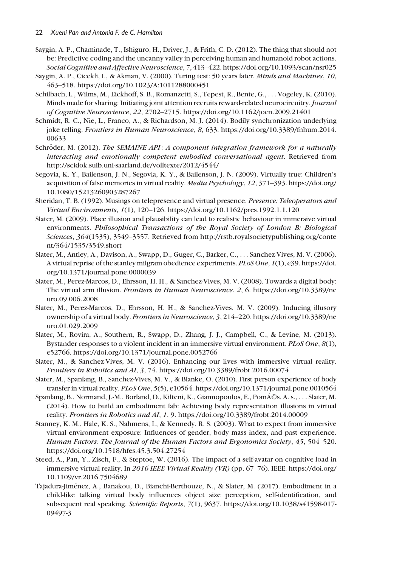- Saygin, A. P., Chaminade, T., Ishiguro, H., Driver, J., & Frith, C. D. (2012). The thing that should not be: Predictive coding and the uncanny valley in perceiving human and humanoid robot actions. Social Cognitive and Affective Neuroscience, 7, 413–422.<https://doi.org/10.1093/scan/nsr025>
- Saygin, A. P., Cicekli, I., & Akman, V. (2000). Turing test: 50 years later. Minds and Machines, 10, 463–518.<https://doi.org/10.1023/A:1011288000451>
- Schilbach, L., Wilms, M., Eickhoff, S. B., Romanzetti, S., Tepest, R., Bente, G., ... Vogeley, K. (2010). Minds made for sharing: Initiating joint attention recruits reward-related neurocircuitry. Journal of Cognitive Neuroscience, 22, 2702–2715.<https://doi.org/10.1162/jocn.2009.21401>
- Schmidt, R. C., Nie, L., Franco, A., & Richardson, M. J. (2014). Bodily synchronization underlying joke telling. Frontiers in Human Neuroscience, 8, 633. [https://doi.org/10.3389/fnhum.2014.](https://doi.org/10.3389/fnhum.2014.00633) [00633](https://doi.org/10.3389/fnhum.2014.00633)
- Schröder, M. (2012). The SEMAINE API: A component integration framework for a naturally interacting and emotionally competent embodied conversational agent. Retrieved from <http://scidok.sulb.uni-saarland.de/volltexte/2012/4544/>
- Segovia, K. Y., Bailenson, J. N., Segovia, K. Y., & Bailenson, J. N. (2009). Virtually true: Children's acquisition of false memories in virtual reality. Media Psychology, 12, 371–393. [https://doi.org/](https://doi.org/10.1080/15213260903287267) [10.1080/15213260903287267](https://doi.org/10.1080/15213260903287267)
- Sheridan, T. B. (1992). Musings on telepresence and virtual presence. Presence: Teleoperators and Virtual Environments, 1(1), 120–126.<https://doi.org/10.1162/pres.1992.1.1.120>
- Slater, M. (2009). Place illusion and plausibility can lead to realistic behaviour in immersive virtual environments. Philosophical Transactions of the Royal Society of London B: Biological Sciences, 364(1535), 3549–3557. Retrieved from [http://rstb.royalsocietypublishing.org/conte](http://rstb.royalsocietypublishing.org/content/364/1535/3549.short) [nt/364/1535/3549.short](http://rstb.royalsocietypublishing.org/content/364/1535/3549.short)
- Slater, M., Antley, A., Davison, A., Swapp, D., Guger, C., Barker, C., ... Sanchez-Vives, M. V. (2006). A virtual reprise of the stanley milgram obedience experiments. PLoS One, 1(1), e39. [https://doi.](https://doi.org/10.1371/journal.pone.0000039) [org/10.1371/journal.pone.0000039](https://doi.org/10.1371/journal.pone.0000039)
- Slater, M., Perez-Marcos, D., Ehrsson, H. H., & Sanchez-Vives, M. V. (2008). Towards a digital body: The virtual arm illusion. Frontiers in Human Neuroscience, 2, 6. [https://doi.org/10.3389/ne](https://doi.org/10.3389/neuro.09.006.2008) [uro.09.006.2008](https://doi.org/10.3389/neuro.09.006.2008)
- Slater, M., Perez-Marcos, D., Ehrsson, H. H., & Sanchez-Vives, M. V. (2009). Inducing illusory ownership of a virtual body. Frontiers in Neuroscience, 3, 214–220. [https://doi.org/10.3389/ne](https://doi.org/10.3389/neuro.01.029.2009) [uro.01.029.2009](https://doi.org/10.3389/neuro.01.029.2009)
- Slater, M., Rovira, A., Southern, R., Swapp, D., Zhang, J. J., Campbell, C., & Levine, M. (2013). Bystander responses to a violent incident in an immersive virtual environment. PLoS One, 8(1), e52766.<https://doi.org/10.1371/journal.pone.0052766>
- Slater, M., & Sanchez-Vives, M. V. (2016). Enhancing our lives with immersive virtual reality. Frontiers in Robotics and AI, 3, 74.<https://doi.org/10.3389/frobt.2016.00074>
- Slater, M., Spanlang, B., Sanchez-Vives, M. V., & Blanke, O. (2010). First person experience of body transfer in virtual reality. PLoS One, 5(5), e10564.<https://doi.org/10.1371/journal.pone.0010564>
- Spanlang, B., Normand, J.-M., Borland, D., Kilteni, K., Giannopoulos, E., PomA©s, A. s., ... Slater, M. (2014). How to build an embodiment lab: Achieving body representation illusions in virtual reality. Frontiers in Robotics and AI, 1, 9.<https://doi.org/10.3389/frobt.2014.00009>
- Stanney, K. M., Hale, K. S., Nahmens, I., & Kennedy, R. S. (2003). What to expect from immersive virtual environment exposure: Influences of gender, body mass index, and past experience. Human Factors: The Journal of the Human Factors and Ergonomics Society, 45, 504–520. <https://doi.org/10.1518/hfes.45.3.504.27254>
- Steed, A., Pan, Y., Zisch, F., & Steptoe, W. (2016). The impact of a self-avatar on cognitive load in immersive virtual reality. In 2016 IEEE Virtual Reality (VR) (pp. 67–76). IEEE. [https://doi.org/](https://doi.org/10.1109/vr.2016.7504689) [10.1109/vr.2016.7504689](https://doi.org/10.1109/vr.2016.7504689)
- Tajadura-Jiménez, A., Banakou, D., Bianchi-Berthouze, N., & Slater, M. (2017). Embodiment in a child-like talking virtual body influences object size perception, self-identification, and subsequent real speaking. Scientific Reports, 7(1), 9637. [https://doi.org/10.1038/s41598-017-](https://doi.org/10.1038/s41598-017-09497-3) [09497-3](https://doi.org/10.1038/s41598-017-09497-3)